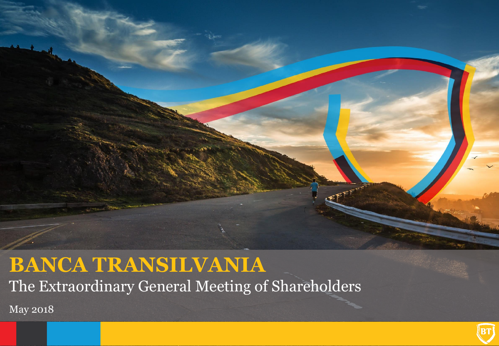

## **BANCA TRANSILVANIA** The Extraordinary General Meeting of Shareholders

May 2018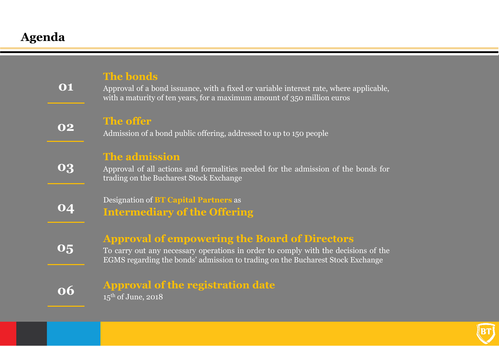## **Agenda**

| 01 | <b>The bonds</b><br>Approval of a bond issuance, with a fixed or variable interest rate, where applicable,<br>with a maturity of ten years, for a maximum amount of 350 million euros                                        |
|----|------------------------------------------------------------------------------------------------------------------------------------------------------------------------------------------------------------------------------|
| O2 | The offer<br>Admission of a bond public offering, addressed to up to 150 people                                                                                                                                              |
| 03 | The admission<br>Approval of all actions and formalities needed for the admission of the bonds for<br>trading on the Bucharest Stock Exchange                                                                                |
| O4 | <b>Designation of BT Capital Partners as</b><br><b>Intermediary of the Offering</b>                                                                                                                                          |
| 05 | <b>Approval of empowering the Board of Directors</b><br>To carry out any necessary operations in order to comply with the decisions of the<br>EGMS regarding the bonds' admission to trading on the Bucharest Stock Exchange |
| 06 | <b>Approval of the registration date</b><br>$15th$ of June, 2018                                                                                                                                                             |

BT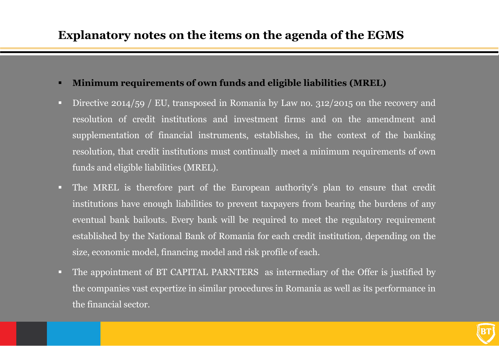- **Minimum requirements of own funds and eligible liabilities (MREL)**
- Directive 2014/59 / EU, transposed in Romania by Law no. 312/2015 on the recovery and resolution of credit institutions and investment firms and on the amendment and supplementation of financial instruments, establishes, in the context of the banking resolution, that credit institutions must continually meet a minimum requirements of own funds and eligible liabilities (MREL).
- The MREL is therefore part of the European authority's plan to ensure that credit institutions have enough liabilities to prevent taxpayers from bearing the burdens of any eventual bank bailouts. Every bank will be required to meet the regulatory requirement established by the National Bank of Romania for each credit institution, depending on the size, economic model, financing model and risk profile of each.
- The appointment of BT CAPITAL PARNTERS as intermediary of the Offer is justified by the companies vast expertize in similar procedures in Romania as well as its performance in the financial sector.